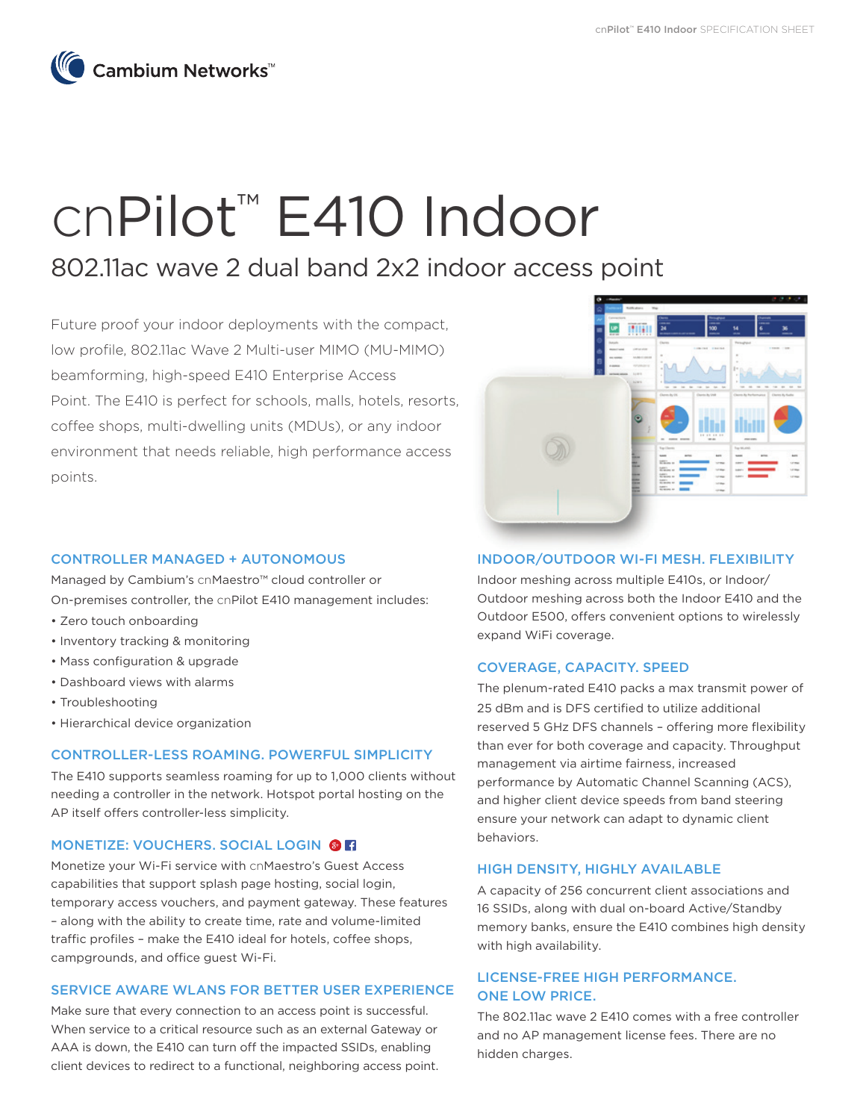

# cnPilot™ E410 Indoor

## 802.11ac wave 2 dual band 2x2 indoor access point

Future proof your indoor deployments with the compact, low profile, 802.11ac Wave 2 Multi-user MIMO (MU-MIMO) beamforming, high-speed E410 Enterprise Access Point. The E410 is perfect for schools, malls, hotels, resorts, coffee shops, multi-dwelling units (MDUs), or any indoor environment that needs reliable, high performance access points.

#### CONTROLLER MANAGED + AUTONOMOUS

Managed by Cambium's cnMaestro™ cloud controller or On-premises controller, the cnPilot E410 management includes:

- Zero touch onboarding
- Inventory tracking & monitoring
- Mass configuration & upgrade
- Dashboard views with alarms
- Troubleshooting
- Hierarchical device organization

#### CONTROLLER-LESS ROAMING. POWERFUL SIMPLICITY

The E410 supports seamless roaming for up to 1,000 clients without needing a controller in the network. Hotspot portal hosting on the AP itself offers controller-less simplicity.

#### MONETIZE: VOUCHERS. SOCIAL LOGIN @ FI

Monetize your Wi-Fi service with cnMaestro's Guest Access capabilities that support splash page hosting, social login, temporary access vouchers, and payment gateway. These features – along with the ability to create time, rate and volume-limited traffic profiles – make the E410 ideal for hotels, coffee shops, campgrounds, and office guest Wi-Fi.

#### SERVICE AWARE WLANS FOR BETTER USER EXPERIENCE

Make sure that every connection to an access point is successful. When service to a critical resource such as an external Gateway or AAA is down, the E410 can turn off the impacted SSIDs, enabling client devices to redirect to a functional, neighboring access point.



#### INDOOR/OUTDOOR WI-FI MESH. FLEXIBILITY

Indoor meshing across multiple E410s, or Indoor/ Outdoor meshing across both the Indoor E410 and the Outdoor E500, offers convenient options to wirelessly expand WiFi coverage.

#### COVERAGE, CAPACITY. SPEED

The plenum-rated E410 packs a max transmit power of 25 dBm and is DFS certified to utilize additional reserved 5 GHz DFS channels – offering more flexibility than ever for both coverage and capacity. Throughput management via airtime fairness, increased performance by Automatic Channel Scanning (ACS), and higher client device speeds from band steering ensure your network can adapt to dynamic client behaviors.

#### HIGH DENSITY, HIGHLY AVAILABLE

A capacity of 256 concurrent client associations and 16 SSIDs, along with dual on-board Active/Standby memory banks, ensure the E410 combines high density with high availability.

#### LICENSE-FREE HIGH PERFORMANCE. ONE LOW PRICE.

The 802.11ac wave 2 E410 comes with a free controller and no AP management license fees. There are no hidden charges.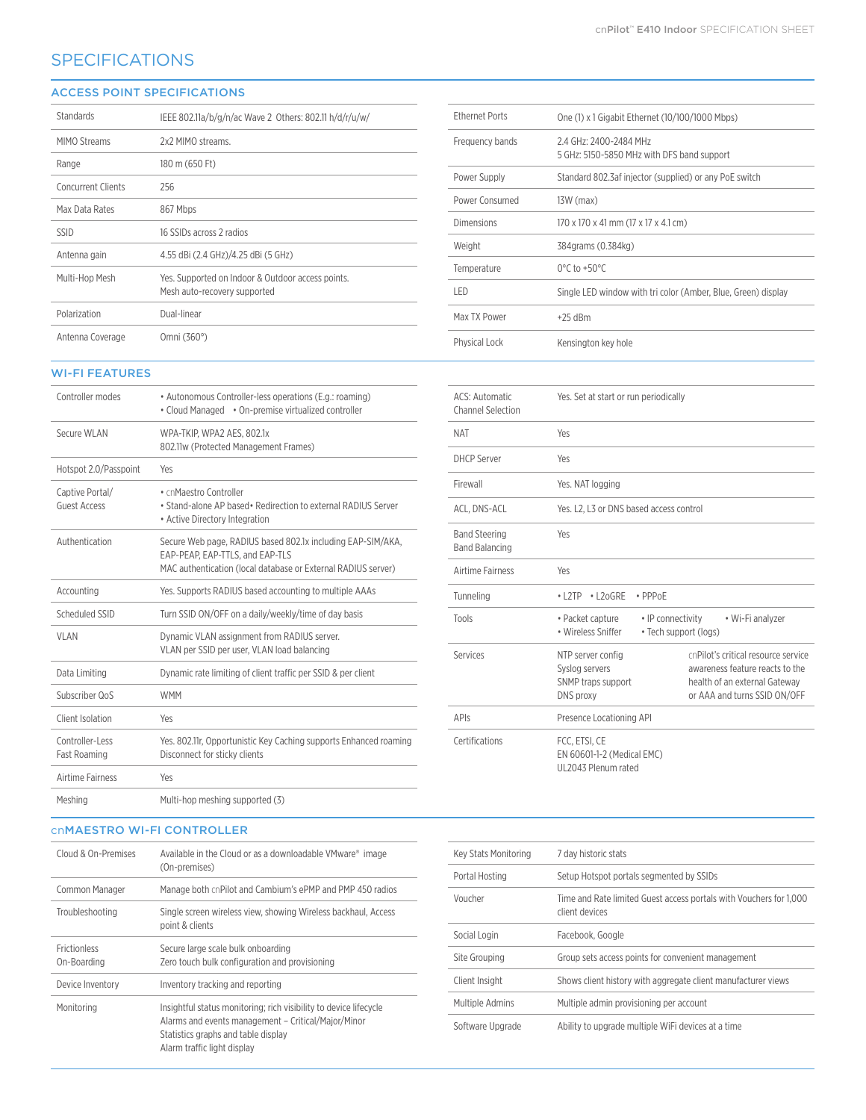### **SPECIFICATIONS**

#### ACCESS POINT SPECIFICATIONS

| Standards                 | IEEE 802.11a/b/g/n/ac Wave 2 Others: 802.11 h/d/r/u/w/                            |
|---------------------------|-----------------------------------------------------------------------------------|
| MIMO Streams              | 2x2 MIMO streams.                                                                 |
| Range                     | 180 m (650 Ft)                                                                    |
| <b>Concurrent Clients</b> | 256                                                                               |
| Max Data Rates            | 867 Mbps                                                                          |
| <b>SSID</b>               | 16 SSIDs across 2 radios                                                          |
| Antenna gain              | 4.55 dBi (2.4 GHz)/4.25 dBi (5 GHz)                                               |
| Multi-Hop Mesh            | Yes. Supported on Indoor & Outdoor access points.<br>Mesh auto-recovery supported |
| Polarization              | Dual-linear                                                                       |
| Antenna Coverage          | Omni (360°)                                                                       |

| <b>Ethernet Ports</b> | One (1) x 1 Gigabit Ethernet (10/100/1000 Mbps)                     |
|-----------------------|---------------------------------------------------------------------|
| Frequency bands       | 24 GHz: 2400-2484 MHz<br>5 GHz: 5150-5850 MHz with DFS band support |
| Power Supply          | Standard 802.3 af injector (supplied) or any PoE switch             |
| Power Consumed        | $13W$ (max)                                                         |
| Dimensions            | 170 x 170 x 41 mm (17 x 17 x 4.1 cm)                                |
| Weight                | 384grams (0.384kg)                                                  |
| Temperature           | $0^{\circ}$ C to +50 $^{\circ}$ C                                   |
| I FD                  | Single LED window with tri color (Amber, Blue, Green) display       |
| Max TX Power          | $+25$ dBm                                                           |
| Physical Lock         | Kensington key hole                                                 |

#### WI-FI FEATURES

| Controller modes                       | • Autonomous Controller-less operations (E.g.: roaming)<br>• Cloud Managed • On-premise virtualized controller                                                  |
|----------------------------------------|-----------------------------------------------------------------------------------------------------------------------------------------------------------------|
| Secure WI AN                           | WPA-TKIP, WPA2 AES, 802.1x<br>802.11w (Protected Management Frames)                                                                                             |
| Hotspot 2.0/Passpoint                  | Yes                                                                                                                                                             |
| Captive Portal/<br><b>Guest Access</b> | • cnMaestro Controller<br>• Stand-alone AP based • Redirection to external RADIUS Server<br>• Active Directory Integration                                      |
| Authentication                         | Secure Web page, RADIUS based 802.1x including EAP-SIM/AKA,<br>EAP-PEAP. EAP-TTLS, and EAP-TLS<br>MAC authentication (local database or External RADIUS server) |
| Accounting                             | Yes. Supports RADIUS based accounting to multiple AAAs                                                                                                          |
| Scheduled SSID                         | Turn SSID ON/OFF on a daily/weekly/time of day basis                                                                                                            |
| <b>VLAN</b>                            | Dynamic VLAN assignment from RADIUS server.<br>VLAN per SSID per user, VLAN load balancing                                                                      |
| Data Limiting                          | Dynamic rate limiting of client traffic per SSID & per client                                                                                                   |
| Subscriber QoS                         | <b>WMM</b>                                                                                                                                                      |
| Client Isolation                       | Yes                                                                                                                                                             |
| Controller-Less<br>Fast Roaming        | Yes. 802.11r, Opportunistic Key Caching supports Enhanced roaming<br>Disconnect for sticky clients                                                              |
| Airtime Fairness                       | Yes                                                                                                                                                             |
| Meshing                                | Multi-hop meshing supported (3)                                                                                                                                 |

| <b>ACS: Automatic</b><br><b>Channel Selection</b> | Yes. Set at start or run periodically                                                                                                                                                                             |
|---------------------------------------------------|-------------------------------------------------------------------------------------------------------------------------------------------------------------------------------------------------------------------|
| <b>NAT</b>                                        | Yes                                                                                                                                                                                                               |
| <b>DHCP Server</b>                                | Yes                                                                                                                                                                                                               |
| Firewall                                          | Yes. NAT logging                                                                                                                                                                                                  |
| ACL, DNS-ACL                                      | Yes. L2, L3 or DNS based access control                                                                                                                                                                           |
| <b>Band Steering</b><br><b>Band Balancing</b>     | Yes                                                                                                                                                                                                               |
| Airtime Fairness                                  | Yes                                                                                                                                                                                                               |
| Tunneling                                         | $\cdot$ L2TP<br>$\cdot$ L <sub>20</sub> GRE<br>$\cdot$ PPP $oF$                                                                                                                                                   |
| Tools                                             | • Packet capture<br>• IP connectivity<br>• Wi-Fi analyzer<br>· Wireless Sniffer<br>• Tech support (logs)                                                                                                          |
| Services                                          | cnPilot's critical resource service<br>NTP server config<br>Syslog servers<br>awareness feature reacts to the<br>SNMP traps support<br>health of an external Gateway<br>or AAA and turns SSID ON/OFF<br>DNS proxy |
| APIs                                              | Presence Locationing API                                                                                                                                                                                          |
| Certifications                                    | FCC, ETSI, CE<br>EN 60601-1-2 (Medical EMC)<br>UL2043 Plenum rated                                                                                                                                                |

#### cnMAESTRO WI-FI CONTROLLER

| Cloud & On-Premises                | Available in the Cloud or as a downloadable VMware® image<br>(On-premises)                                                                                                                     |
|------------------------------------|------------------------------------------------------------------------------------------------------------------------------------------------------------------------------------------------|
| Common Manager                     | Manage both cnPilot and Cambium's ePMP and PMP 450 radios                                                                                                                                      |
| Troubleshooting                    | Single screen wireless view, showing Wireless backhaul, Access<br>point & clients                                                                                                              |
| <b>Frictionless</b><br>On-Boarding | Secure large scale bulk onboarding<br>Zero touch bulk configuration and provisioning                                                                                                           |
| Device Inventory                   | Inventory tracking and reporting                                                                                                                                                               |
| Monitoring                         | Insightful status monitoring; rich visibility to device lifecycle<br>Alarms and events management - Critical/Major/Minor<br>Statistics graphs and table display<br>Alarm traffic light display |

| Key Stats Monitoring | 7 day historic stats                                                                 |
|----------------------|--------------------------------------------------------------------------------------|
| Portal Hosting       | Setup Hotspot portals segmented by SSIDs                                             |
| Voucher              | Time and Rate limited Guest access portals with Vouchers for 1,000<br>client devices |
| Social Login         | Facebook, Google                                                                     |
| Site Grouping        | Group sets access points for convenient management                                   |
| Client Insight       | Shows client history with aggregate client manufacturer views                        |
| Multiple Admins      | Multiple admin provisioning per account                                              |
| Software Upgrade     | Ability to upgrade multiple WiFi devices at a time                                   |